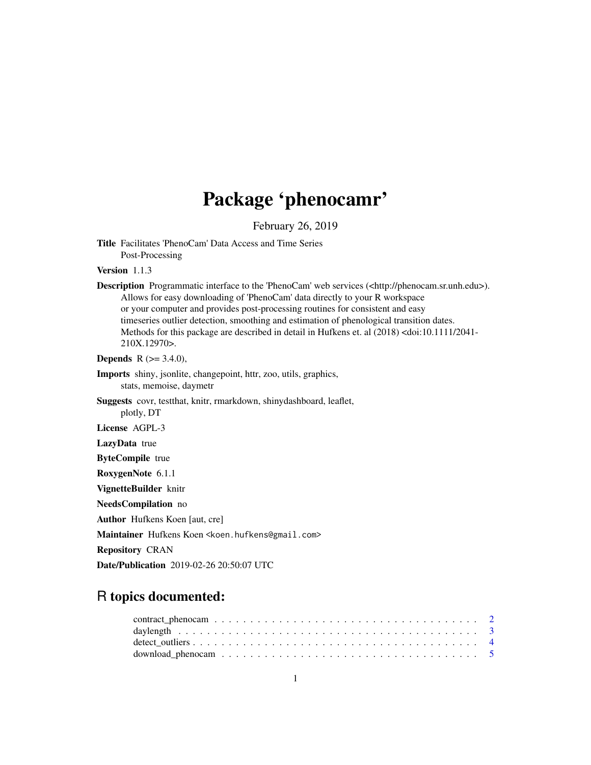# Package 'phenocamr'

February 26, 2019

Title Facilitates 'PhenoCam' Data Access and Time Series Post-Processing

Version 1.1.3

Description Programmatic interface to the 'PhenoCam' web services (<http://phenocam.sr.unh.edu>). Allows for easy downloading of 'PhenoCam' data directly to your R workspace or your computer and provides post-processing routines for consistent and easy timeseries outlier detection, smoothing and estimation of phenological transition dates. Methods for this package are described in detail in Hufkens et. al (2018) <doi:10.1111/2041- 210X.12970>.

**Depends** R  $(>= 3.4.0)$ ,

- Imports shiny, jsonlite, changepoint, httr, zoo, utils, graphics, stats, memoise, daymetr
- Suggests covr, testthat, knitr, rmarkdown, shinydashboard, leaflet, plotly, DT

License AGPL-3

LazyData true

ByteCompile true

RoxygenNote 6.1.1

VignetteBuilder knitr

NeedsCompilation no

Author Hufkens Koen [aut, cre]

Maintainer Hufkens Koen <koen.hufkens@gmail.com>

Repository CRAN

Date/Publication 2019-02-26 20:50:07 UTC

## R topics documented: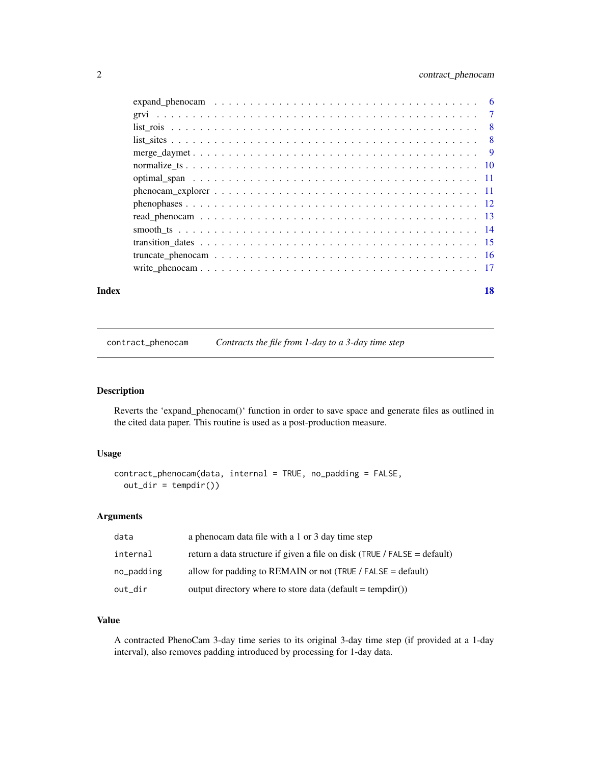#### <span id="page-1-0"></span>2 contract\_phenocam

| Index | 18 |
|-------|----|

contract\_phenocam *Contracts the file from 1-day to a 3-day time step*

#### Description

Reverts the 'expand\_phenocam()' function in order to save space and generate files as outlined in the cited data paper. This routine is used as a post-production measure.

#### Usage

```
contract_phenocam(data, internal = TRUE, no_padding = FALSE,
 out\_dir = tempdir()
```
#### Arguments

| data       | a phenocam data file with a 1 or 3 day time step                         |
|------------|--------------------------------------------------------------------------|
| internal   | return a data structure if given a file on disk (TRUE / FALSE = default) |
| no_padding | allow for padding to REMAIN or not (TRUE / FALSE = default)              |
| out_dir    | output directory where to store data (default = tempdir())               |

#### Value

A contracted PhenoCam 3-day time series to its original 3-day time step (if provided at a 1-day interval), also removes padding introduced by processing for 1-day data.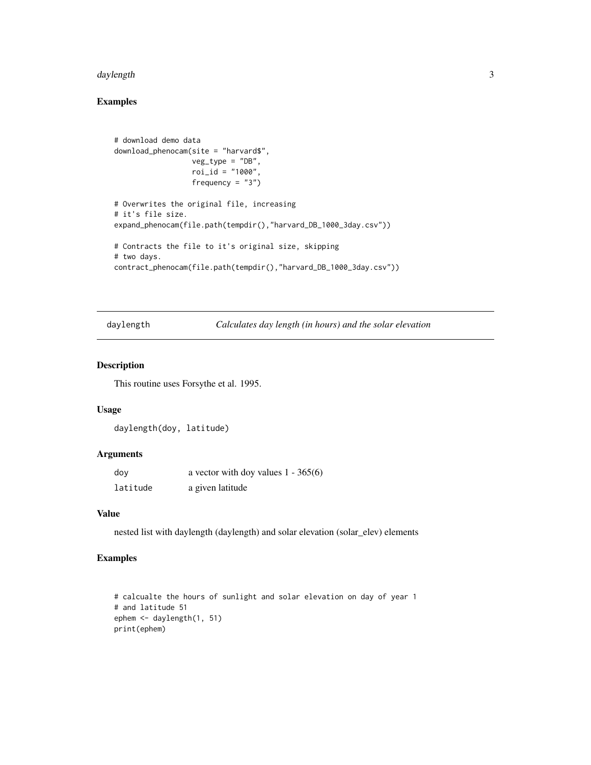#### <span id="page-2-0"></span>daylength 3

#### Examples

```
# download demo data
download_phenocam(site = "harvard$",
                  veg_type = "DB",
                  roi_id = "1000",frequency = "3")# Overwrites the original file, increasing
# it's file size.
expand_phenocam(file.path(tempdir(),"harvard_DB_1000_3day.csv"))
# Contracts the file to it's original size, skipping
# two days.
contract_phenocam(file.path(tempdir(),"harvard_DB_1000_3day.csv"))
```
daylength *Calculates day length (in hours) and the solar elevation*

#### Description

This routine uses Forsythe et al. 1995.

#### Usage

```
daylength(doy, latitude)
```
#### Arguments

| dov      | a vector with doy values $1 - 365(6)$ |
|----------|---------------------------------------|
| latitude | a given latitude                      |

#### Value

nested list with daylength (daylength) and solar elevation (solar\_elev) elements

```
# calcualte the hours of sunlight and solar elevation on day of year 1
# and latitude 51
ephem <- daylength(1, 51)
print(ephem)
```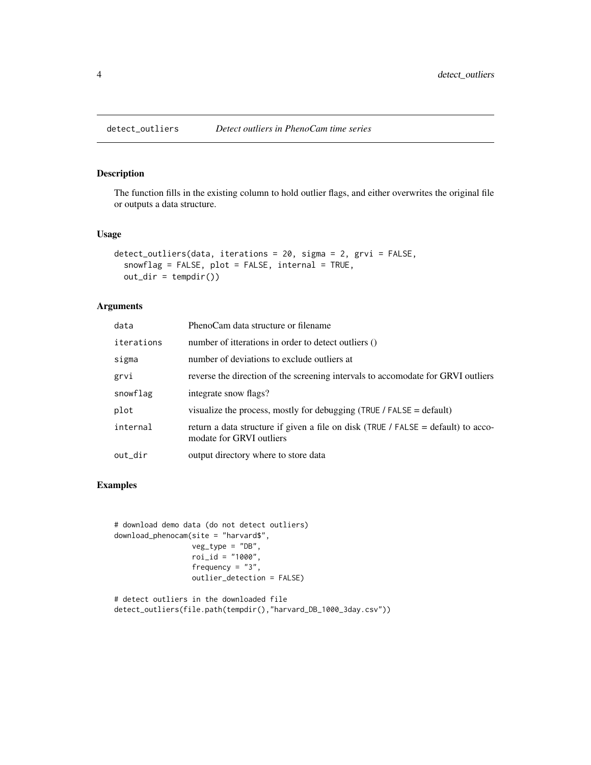<span id="page-3-0"></span>

The function fills in the existing column to hold outlier flags, and either overwrites the original file or outputs a data structure.

#### Usage

```
detect_outliers(data, iterations = 20, sigma = 2, grvi = FALSE,
  snowflag = FALSE, plot = FALSE, internal = TRUE,
 out\_dir = tempdir()
```
#### Arguments

| data       | PhenoCam data structure or filename                                                                           |
|------------|---------------------------------------------------------------------------------------------------------------|
| iterations | number of itterations in order to detect outliers ()                                                          |
| sigma      | number of deviations to exclude outliers at                                                                   |
| grvi       | reverse the direction of the screening intervals to accomodate for GRVI outliers                              |
| snowflag   | integrate snow flags?                                                                                         |
| plot       | visualize the process, mostly for debugging (TRUE / FALSE = default)                                          |
| internal   | return a data structure if given a file on disk (TRUE / FALSE = default) to acco-<br>modate for GRVI outliers |
| out_dir    | output directory where to store data                                                                          |

```
# download demo data (do not detect outliers)
download_phenocam(site = "harvard$",
                  veg_type = "DB",
                  roi_id = "1000",
                  frequency = "3",
                  outlier_detection = FALSE)
```

```
# detect outliers in the downloaded file
detect_outliers(file.path(tempdir(),"harvard_DB_1000_3day.csv"))
```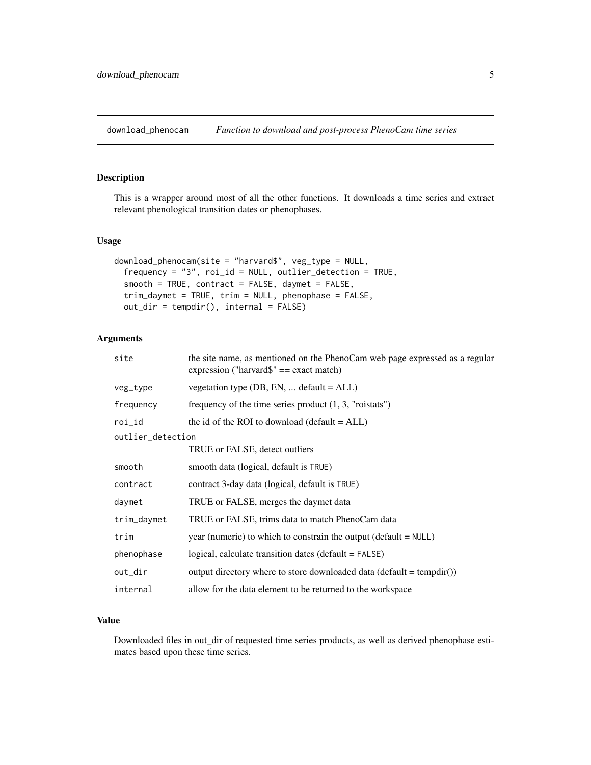<span id="page-4-0"></span>download\_phenocam *Function to download and post-process PhenoCam time series*

#### Description

This is a wrapper around most of all the other functions. It downloads a time series and extract relevant phenological transition dates or phenophases.

#### Usage

```
download_phenocam(site = "harvard$", veg_type = NULL,
  frequency = "3", roi_id = NULL, outlier_detection = TRUE,
  smooth = TRUE, contract = FALSE, daymet = FALSE,
 trim_daymet = TRUE, trim = NULL, phenophase = FALSE,
 out_dir = tempdir(), internal = FALSE)
```
#### Arguments

| site              | the site name, as mentioned on the PhenoCam web page expressed as a regular<br>expression ("harvard $\mathcal{S}$ " = exact match) |  |  |  |  |
|-------------------|------------------------------------------------------------------------------------------------------------------------------------|--|--|--|--|
| veg_type          | vegetation type $(DB, EN, \dots$ default = ALL)                                                                                    |  |  |  |  |
| frequency         | frequency of the time series product $(1, 3,$ "roistats")                                                                          |  |  |  |  |
| roi_id            | the id of the ROI to download (default $= ALL$ )                                                                                   |  |  |  |  |
| outlier_detection |                                                                                                                                    |  |  |  |  |
|                   | TRUE or FALSE, detect outliers                                                                                                     |  |  |  |  |
| smooth            | smooth data (logical, default is TRUE)                                                                                             |  |  |  |  |
| contract          | contract 3-day data (logical, default is TRUE)                                                                                     |  |  |  |  |
| daymet            | TRUE or FALSE, merges the daymet data                                                                                              |  |  |  |  |
| trim_daymet       | TRUE or FALSE, trims data to match PhenoCam data                                                                                   |  |  |  |  |
| trim              | year (numeric) to which to constrain the output ( $default = NULL$ )                                                               |  |  |  |  |
| phenophase        | logical, calculate transition dates (default = FALSE)                                                                              |  |  |  |  |
| out_dir           | output directory where to store downloaded data (default = $tempdir()$ )                                                           |  |  |  |  |
| internal          | allow for the data element to be returned to the workspace                                                                         |  |  |  |  |

#### Value

Downloaded files in out\_dir of requested time series products, as well as derived phenophase estimates based upon these time series.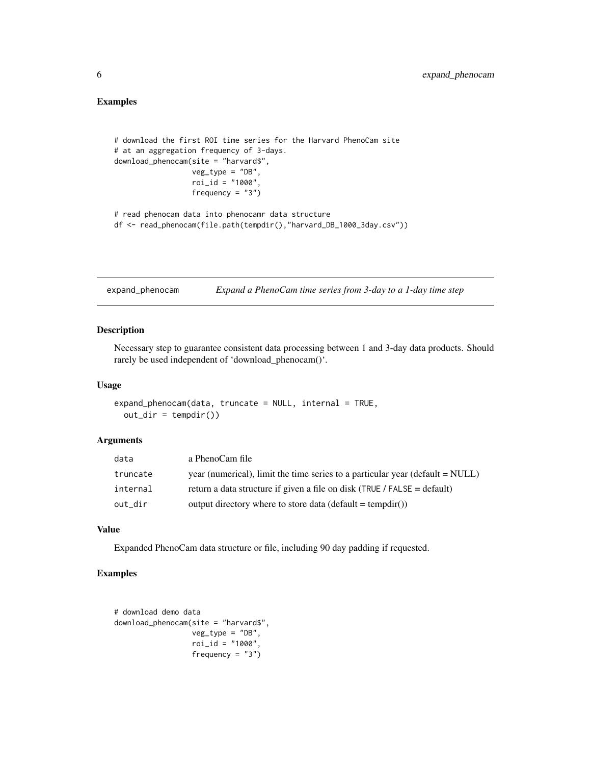#### <span id="page-5-0"></span>Examples

```
# download the first ROI time series for the Harvard PhenoCam site
# at an aggregation frequency of 3-days.
download_phenocam(site = "harvard$",
                 veg_type = "DB",
                 roi_id = "1000",frequency = "3")# read phenocam data into phenocamr data structure
df <- read_phenocam(file.path(tempdir(),"harvard_DB_1000_3day.csv"))
```
expand\_phenocam *Expand a PhenoCam time series from 3-day to a 1-day time step*

#### Description

Necessary step to guarantee consistent data processing between 1 and 3-day data products. Should rarely be used independent of 'download\_phenocam()'.

#### Usage

```
expand_phenocam(data, truncate = NULL, internal = TRUE,
  out\_dir = tempdir()
```
#### Arguments

| data     | a PhenoCam file                                                                                 |
|----------|-------------------------------------------------------------------------------------------------|
| truncate | year (numerical), limit the time series to a particular year ( $\text{default} = \text{NULL}$ ) |
| internal | return a data structure if given a file on disk (TRUE / FALSE = default)                        |
| out dir  | output directory where to store data (default = tempdir())                                      |

#### Value

Expanded PhenoCam data structure or file, including 90 day padding if requested.

```
# download demo data
download_phenocam(site = "harvard$",
                 veg_type = "DB",
                 roi_id = "1000",frequency = "3")
```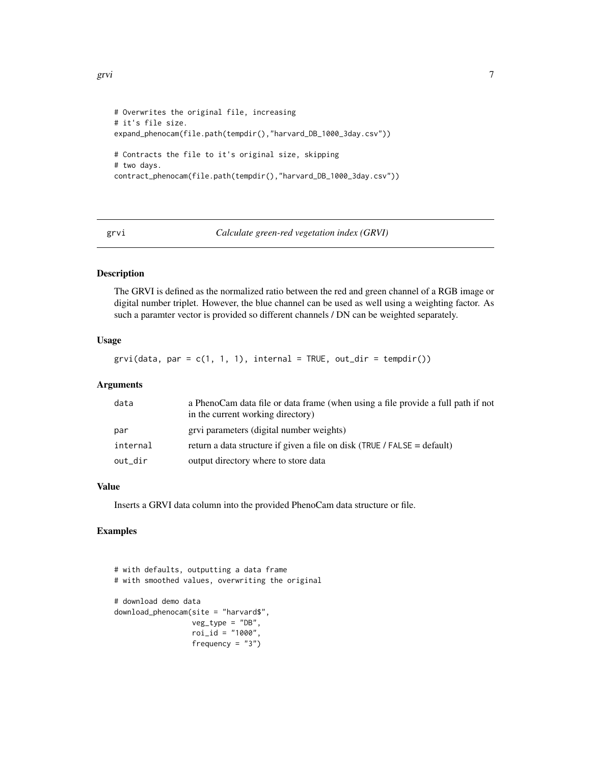```
# Overwrites the original file, increasing
# it's file size.
expand_phenocam(file.path(tempdir(),"harvard_DB_1000_3day.csv"))
# Contracts the file to it's original size, skipping
# two days.
contract_phenocam(file.path(tempdir(),"harvard_DB_1000_3day.csv"))
```
#### grvi *Calculate green-red vegetation index (GRVI)*

#### Description

The GRVI is defined as the normalized ratio between the red and green channel of a RGB image or digital number triplet. However, the blue channel can be used as well using a weighting factor. As such a paramter vector is provided so different channels / DN can be weighted separately.

#### Usage

grvi(data, par =  $c(1, 1, 1)$ , internal = TRUE, out\_dir = tempdir())

#### **Arguments**

| data     | a PhenoCam data file or data frame (when using a file provide a full path if not<br>in the current working directory) |
|----------|-----------------------------------------------------------------------------------------------------------------------|
| par      | grvi parameters (digital number weights)                                                                              |
| internal | return a data structure if given a file on disk (TRUE / FALSE = default)                                              |
| out_dir  | output directory where to store data                                                                                  |

#### Value

Inserts a GRVI data column into the provided PhenoCam data structure or file.

```
# with defaults, outputting a data frame
# with smoothed values, overwriting the original
# download demo data
download_phenocam(site = "harvard$",
                 veg_type = "DB",
                 roi_id = "1000",frequency = "3")
```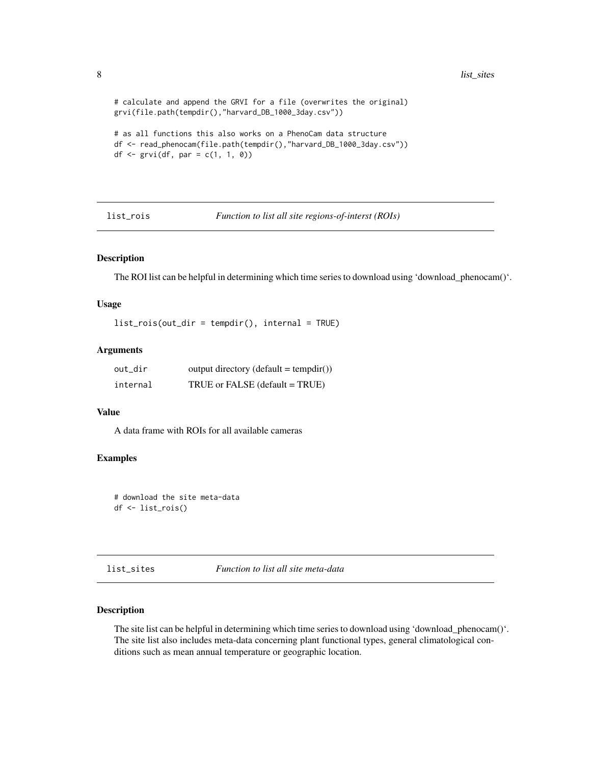```
# calculate and append the GRVI for a file (overwrites the original)
grvi(file.path(tempdir(),"harvard_DB_1000_3day.csv"))
# as all functions this also works on a PhenoCam data structure
df <- read_phenocam(file.path(tempdir(),"harvard_DB_1000_3day.csv"))
df \leftarrow \text{grvi}(df, \text{ par} = c(1, 1, 0))
```
list\_rois *Function to list all site regions-of-interst (ROIs)*

#### Description

The ROI list can be helpful in determining which time series to download using 'download\_phenocam()'.

#### Usage

```
list_rois(out_dir = tempdir(), internal = TRUE)
```
#### Arguments

| out_dir  | $output$ directory (default = tempdir()) |
|----------|------------------------------------------|
| internal | TRUE or FALSE (default = TRUE)           |

#### Value

A data frame with ROIs for all available cameras

#### Examples

```
# download the site meta-data
df <- list_rois()
```

```
list_sites Function to list all site meta-data
```
#### Description

The site list can be helpful in determining which time series to download using 'download\_phenocam()'. The site list also includes meta-data concerning plant functional types, general climatological conditions such as mean annual temperature or geographic location.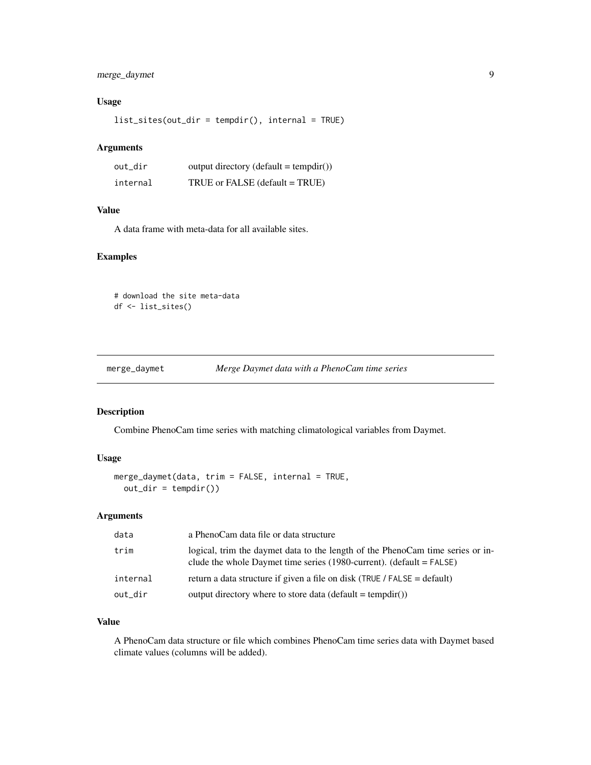#### <span id="page-8-0"></span>merge\_daymet 9

#### Usage

list\_sites(out\_dir = tempdir(), internal = TRUE)

#### Arguments

| out dir  | output directory (default = $tempdir()$ ) |
|----------|-------------------------------------------|
| internal | TRUE or FALSE (default = TRUE)            |

#### Value

A data frame with meta-data for all available sites.

#### Examples

# download the site meta-data df <- list\_sites()

merge\_daymet *Merge Daymet data with a PhenoCam time series*

#### Description

Combine PhenoCam time series with matching climatological variables from Daymet.

### Usage

```
merge_daymet(data, trim = FALSE, internal = TRUE,
 out\_dir = tempdir()
```
#### Arguments

| data     | a PhenoCam data file or data structure                                                                                                                   |
|----------|----------------------------------------------------------------------------------------------------------------------------------------------------------|
| trim     | logical, trim the daymet data to the length of the PhenoCam time series or in-<br>clude the whole Daymet time series (1980-current). (default $=$ FALSE) |
| internal | return a data structure if given a file on disk (TRUE / FALSE = default)                                                                                 |
| out_dir  | output directory where to store data (default = tempdir())                                                                                               |

#### Value

A PhenoCam data structure or file which combines PhenoCam time series data with Daymet based climate values (columns will be added).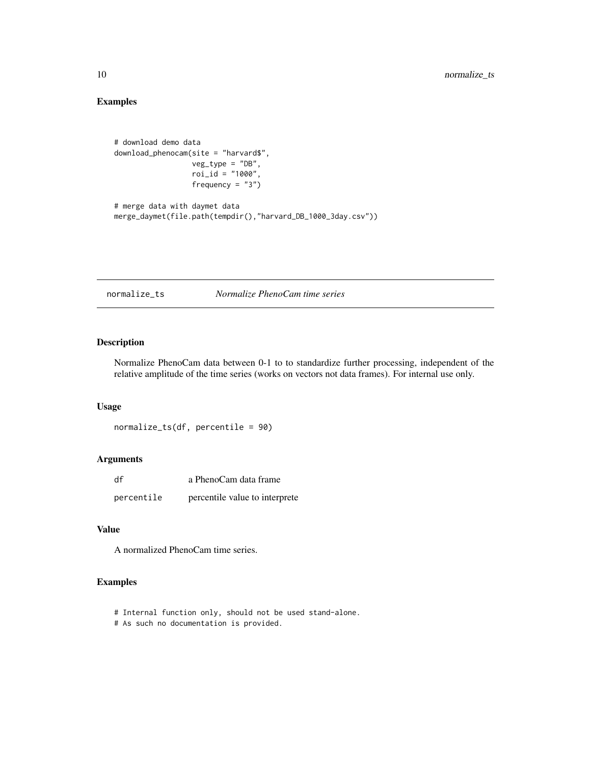#### Examples

```
# download demo data
download_phenocam(site = "harvard$",
                 veg_type = "DB",
                 roi_id = "1000",frequency = "3")# merge data with daymet data
```
merge\_daymet(file.path(tempdir(),"harvard\_DB\_1000\_3day.csv"))

normalize\_ts *Normalize PhenoCam time series*

#### Description

Normalize PhenoCam data between 0-1 to to standardize further processing, independent of the relative amplitude of the time series (works on vectors not data frames). For internal use only.

#### Usage

```
normalize_ts(df, percentile = 90)
```
#### Arguments

| df         | a PhenoCam data frame          |
|------------|--------------------------------|
| percentile | percentile value to interprete |

#### Value

A normalized PhenoCam time series.

- # Internal function only, should not be used stand-alone.
- # As such no documentation is provided.

<span id="page-9-0"></span>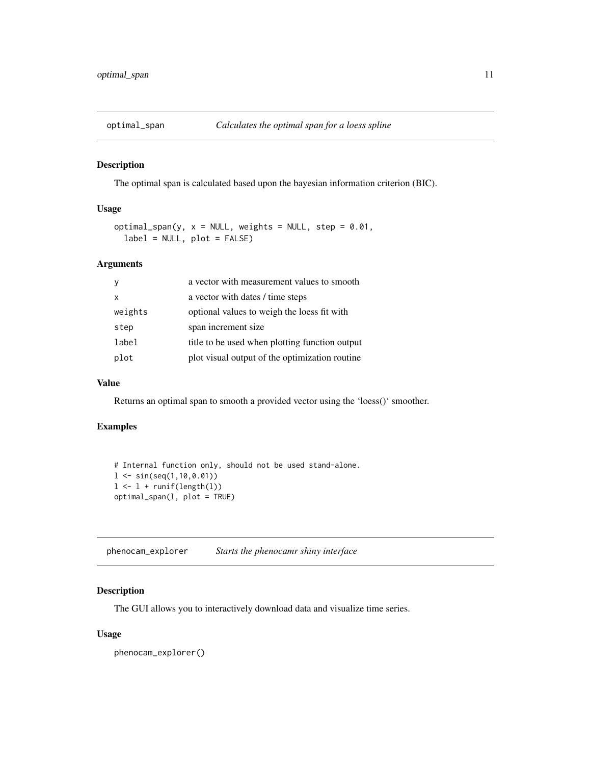<span id="page-10-0"></span>

The optimal span is calculated based upon the bayesian information criterion (BIC).

#### Usage

```
optimal_span(y, x = NULL, weights = NULL, step = 0.01,
  label = NULL, plot = FALSE)
```
#### Arguments

|         | a vector with measurement values to smooth     |
|---------|------------------------------------------------|
| x       | a vector with dates / time steps               |
| weights | optional values to weigh the loess fit with    |
| step    | span increment size                            |
| label   | title to be used when plotting function output |
| plot    | plot visual output of the optimization routine |

#### Value

Returns an optimal span to smooth a provided vector using the 'loess()' smoother.

#### Examples

```
# Internal function only, should not be used stand-alone.
1 \leq -\sin(\sec(1, 10, 0.01))1 \leftarrow 1 + \text{runif}(\text{length}(1))optimal_span(l, plot = TRUE)
```
phenocam\_explorer *Starts the phenocamr shiny interface*

#### Description

The GUI allows you to interactively download data and visualize time series.

#### Usage

phenocam\_explorer()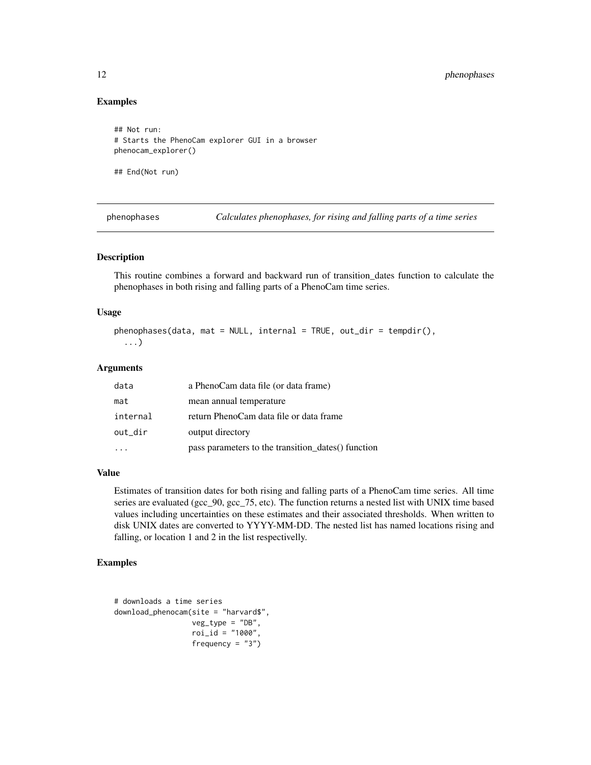#### Examples

```
## Not run:
# Starts the PhenoCam explorer GUI in a browser
phenocam_explorer()
```
## End(Not run)

phenophases *Calculates phenophases, for rising and falling parts of a time series*

#### Description

This routine combines a forward and backward run of transition\_dates function to calculate the phenophases in both rising and falling parts of a PhenoCam time series.

#### Usage

```
phenophases(data, mat = NULL, internal = TRUE, out_dir = tempdir(),
  ...)
```
#### Arguments

| data     | a PhenoCam data file (or data frame)               |
|----------|----------------------------------------------------|
| mat      | mean annual temperature                            |
| internal | return PhenoCam data file or data frame            |
| out_dir  | output directory                                   |
|          | pass parameters to the transition_dates() function |

#### Value

Estimates of transition dates for both rising and falling parts of a PhenoCam time series. All time series are evaluated (gcc\_90, gcc\_75, etc). The function returns a nested list with UNIX time based values including uncertainties on these estimates and their associated thresholds. When written to disk UNIX dates are converted to YYYY-MM-DD. The nested list has named locations rising and falling, or location 1 and 2 in the list respectivelly.

```
# downloads a time series
download_phenocam(site = "harvard$",
                 veg_type = "DB",
                  roi_id = "1000",frequency = "3")
```
<span id="page-11-0"></span>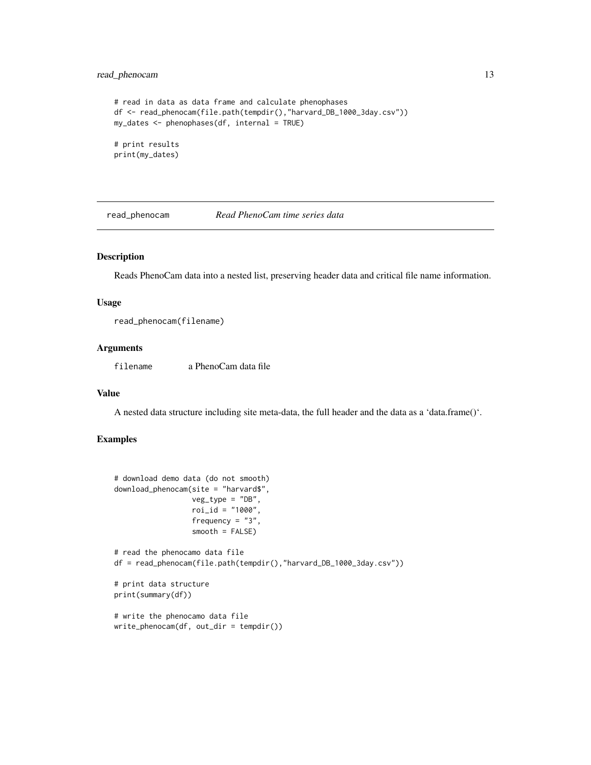#### <span id="page-12-0"></span>read\_phenocam 13

```
# read in data as data frame and calculate phenophases
df <- read_phenocam(file.path(tempdir(),"harvard_DB_1000_3day.csv"))
my_dates <- phenophases(df, internal = TRUE)
# print results
print(my_dates)
```
read\_phenocam *Read PhenoCam time series data*

#### Description

Reads PhenoCam data into a nested list, preserving header data and critical file name information.

#### Usage

read\_phenocam(filename)

#### Arguments

filename a PhenoCam data file

#### Value

A nested data structure including site meta-data, the full header and the data as a 'data.frame()'.

```
# download demo data (do not smooth)
download_phenocam(site = "harvard$",
                 veg_type = "DB",
                  roi_id = "1000",frequency = "3",
                  smooth = FALSE)
# read the phenocamo data file
df = read_phenocam(file.path(tempdir(),"harvard_DB_1000_3day.csv"))
# print data structure
print(summary(df))
```

```
# write the phenocamo data file
write_phenocam(df, out_dir = tempdir())
```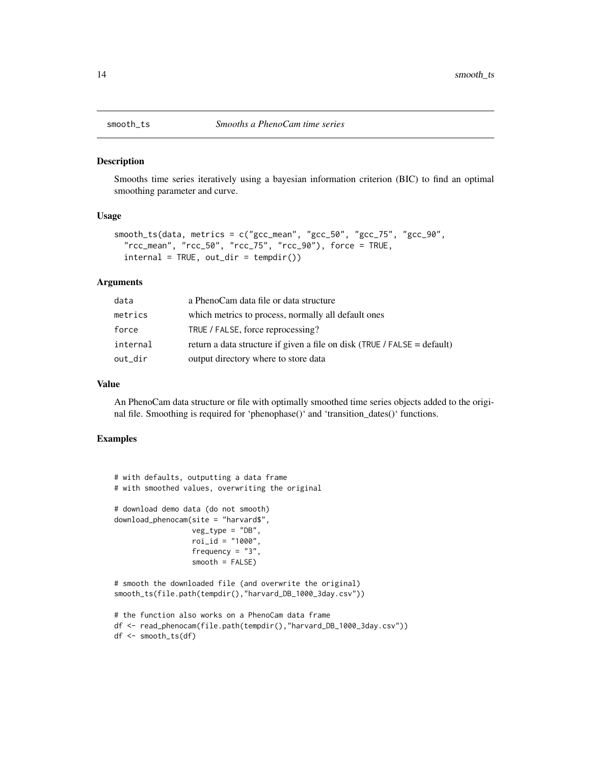<span id="page-13-0"></span>

Smooths time series iteratively using a bayesian information criterion (BIC) to find an optimal smoothing parameter and curve.

#### Usage

```
smooth_ts(data, metrics = c("gcc_mean", "gcc_50", "gcc_75", "gcc_90",
 "rcc_mean", "rcc_50", "rcc_75", "rcc_90"), force = TRUE,
 interval = TRUE, out-dir = tempdir())
```
#### Arguments

| data     | a PhenoCam data file or data structure                                   |
|----------|--------------------------------------------------------------------------|
| metrics  | which metrics to process, normally all default ones                      |
| force    | TRUE / FALSE, force reprocessing?                                        |
| internal | return a data structure if given a file on disk (TRUE / FALSE = default) |
| out_dir  | output directory where to store data                                     |

#### Value

An PhenoCam data structure or file with optimally smoothed time series objects added to the original file. Smoothing is required for 'phenophase()' and 'transition\_dates()' functions.

```
# with defaults, outputting a data frame
# with smoothed values, overwriting the original
# download demo data (do not smooth)
download_phenocam(site = "harvard$",
                  veg_type = "DB",
                  roi_id = "1000",frequency = "3",
                  smooth = FALSE)
# smooth the downloaded file (and overwrite the original)
smooth_ts(file.path(tempdir(),"harvard_DB_1000_3day.csv"))
# the function also works on a PhenoCam data frame
df <- read_phenocam(file.path(tempdir(),"harvard_DB_1000_3day.csv"))
```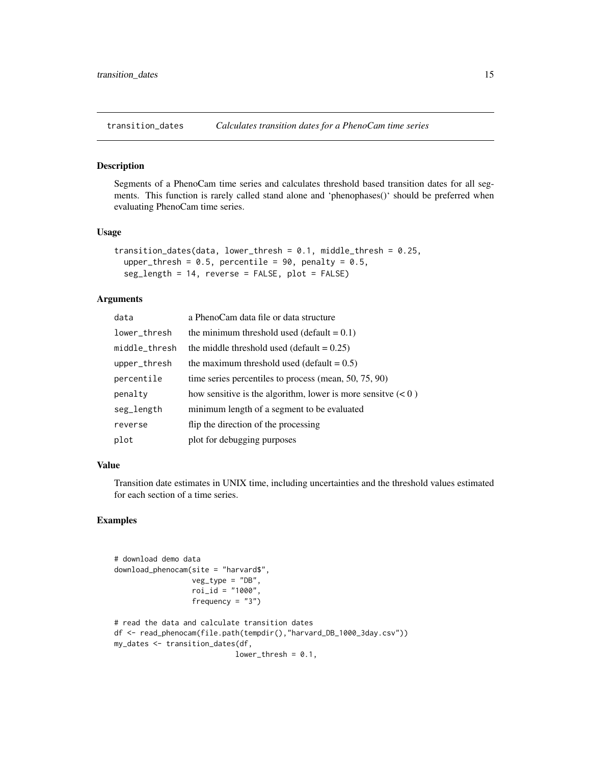<span id="page-14-0"></span>

Segments of a PhenoCam time series and calculates threshold based transition dates for all segments. This function is rarely called stand alone and 'phenophases()' should be preferred when evaluating PhenoCam time series.

#### Usage

```
transition_dates(data, lower_thresh = 0.1, middle_thresh = 0.25,
 upper_thresh = 0.5, percentile = 90, penalty = 0.5,
  seg_length = 14, reverse = FALSE, plot = FALSE)
```
#### Arguments

| data          | a PhenoCam data file or data structure                        |
|---------------|---------------------------------------------------------------|
| lower_thresh  | the minimum threshold used (default $= 0.1$ )                 |
| middle_thresh | the middle threshold used (default $= 0.25$ )                 |
| upper_thresh  | the maximum threshold used (default $= 0.5$ )                 |
| percentile    | time series percentiles to process (mean, $50, 75, 90$ )      |
| penalty       | how sensitive is the algorithm, lower is more sensity $(< 0)$ |
| seg_length    | minimum length of a segment to be evaluated                   |
| reverse       | flip the direction of the processing                          |
| plot          | plot for debugging purposes                                   |

#### Value

Transition date estimates in UNIX time, including uncertainties and the threshold values estimated for each section of a time series.

```
# download demo data
download_phenocam(site = "harvard$",
                  veg_type = "DB",
                  roi_id = "1000",frequency = "3")
# read the data and calculate transition dates
df <- read_phenocam(file.path(tempdir(),"harvard_DB_1000_3day.csv"))
my_dates <- transition_dates(df,
                            lower_{thresh} = 0.1,
```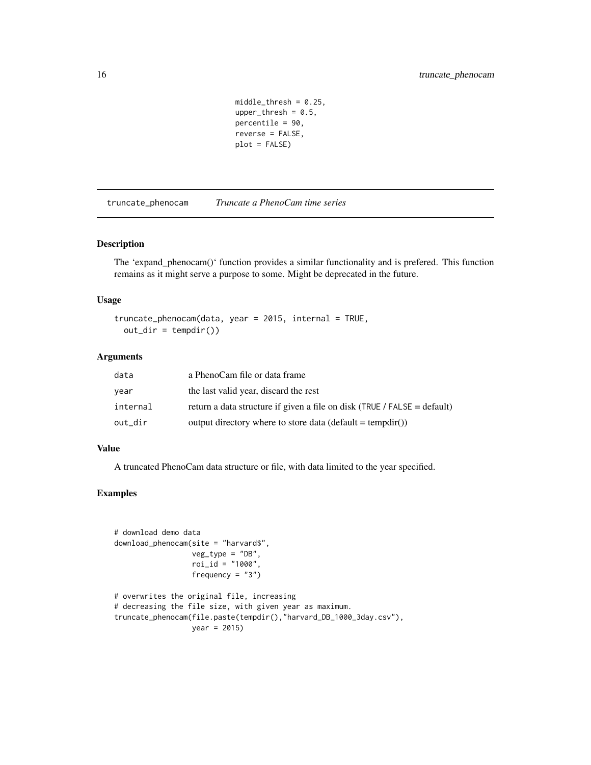```
middle_\text{thresh} = 0.25,
upper_{thresh} = 0.5,
percentile = 90,
reverse = FALSE,
plot = FALSE)
```
<span id="page-15-0"></span>truncate\_phenocam *Truncate a PhenoCam time series*

#### Description

The 'expand\_phenocam()' function provides a similar functionality and is prefered. This function remains as it might serve a purpose to some. Might be deprecated in the future.

#### Usage

```
truncate_phenocam(data, year = 2015, internal = TRUE,
 out\_dir = tempdir()
```
#### Arguments

| data     | a PhenoCam file or data frame                                            |
|----------|--------------------------------------------------------------------------|
| year     | the last valid year, discard the rest                                    |
| internal | return a data structure if given a file on disk (TRUE / FALSE = default) |
| out dir  | output directory where to store data (default = tempdir())               |

#### Value

A truncated PhenoCam data structure or file, with data limited to the year specified.

```
# download demo data
download_phenocam(site = "harvard$",
                 veg_type = "DB",
                 roi_id = "1000",frequency = "3")
# overwrites the original file, increasing
# decreasing the file size, with given year as maximum.
truncate_phenocam(file.paste(tempdir(),"harvard_DB_1000_3day.csv"),
                 year = 2015)
```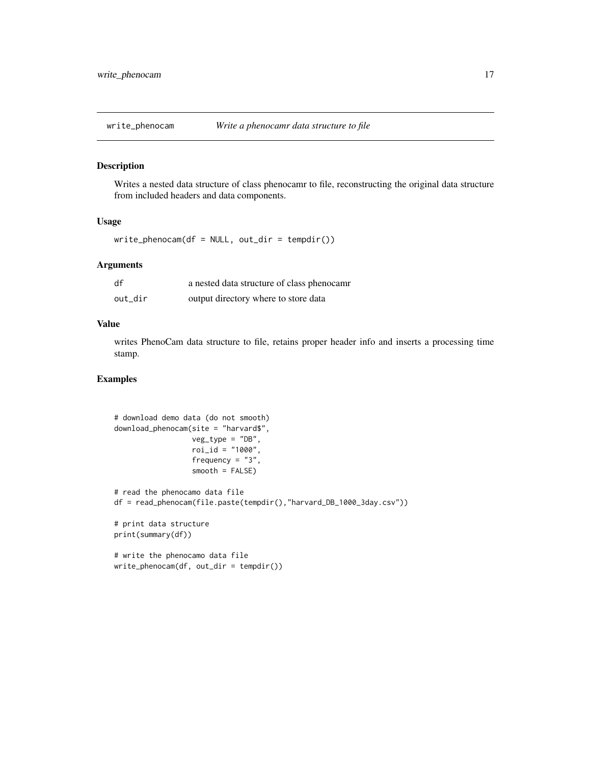<span id="page-16-0"></span>

Writes a nested data structure of class phenocamr to file, reconstructing the original data structure from included headers and data components.

#### Usage

```
write\_phenocam(df = NULL, out\_dir = tempdir())
```
#### Arguments

| df      | a nested data structure of class phenocamr |
|---------|--------------------------------------------|
| out dir | output directory where to store data       |

#### Value

writes PhenoCam data structure to file, retains proper header info and inserts a processing time stamp.

```
# download demo data (do not smooth)
download_phenocam(site = "harvard$",
                 veg_type = "DB",roi_id = "1000",frequency = "3",
                 smooth = FALSE)
# read the phenocamo data file
df = read_phenocam(file.paste(tempdir(),"harvard_DB_1000_3day.csv"))
# print data structure
print(summary(df))
# write the phenocamo data file
write_phenocam(df, out_dir = tempdir())
```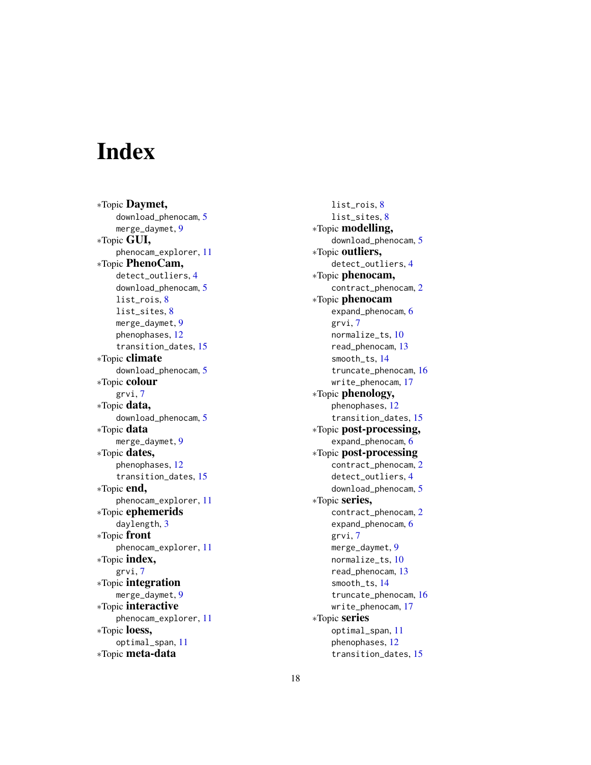# <span id="page-17-0"></span>Index

∗Topic Daymet, download\_phenocam , [5](#page-4-0) merge\_daymet, [9](#page-8-0) ∗Topic GUI, phenocam\_explorer , [11](#page-10-0) ∗Topic PhenoCam, detect\_outliers , [4](#page-3-0) download\_phenocam , [5](#page-4-0) list\_rois , [8](#page-7-0) list\_sites , [8](#page-7-0) merge\_daymet,<mark>[9](#page-8-0)</mark> phenophases , [12](#page-11-0) transition\_dates , [15](#page-14-0) ∗Topic climate download\_phenocam , [5](#page-4-0) ∗Topic colour grvi , [7](#page-6-0) ∗Topic data, download\_phenocam , [5](#page-4-0) ∗Topic data merge\_daymet,<mark>[9](#page-8-0)</mark> ∗Topic dates, phenophases , [12](#page-11-0) transition\_dates , [15](#page-14-0) ∗Topic end, phenocam\_explorer , [11](#page-10-0) ∗Topic ephemerids daylength , [3](#page-2-0) ∗Topic front phenocam\_explorer , [11](#page-10-0) ∗Topic index, grvi , [7](#page-6-0) ∗Topic integration merge\_daymet , [9](#page-8-0) ∗Topic interactive phenocam\_explorer , [11](#page-10-0) ∗Topic loess, optimal\_span , [11](#page-10-0) ∗Topic meta-data

list\_rois , [8](#page-7-0) list\_sites , [8](#page-7-0) ∗Topic modelling, download\_phenocam , [5](#page-4-0) ∗Topic outliers, detect\_outliers , [4](#page-3-0) ∗Topic phenocam, contract\_phenocam , [2](#page-1-0) ∗Topic phenocam expand\_phenocam, [6](#page-5-0) grvi , [7](#page-6-0) normalize\_ts , [10](#page-9-0) read\_phenocam , [13](#page-12-0) smooth\_ts , [14](#page-13-0) truncate\_phenocam , [16](#page-15-0) write\_phenocam , [17](#page-16-0) ∗Topic phenology, phenophases , [12](#page-11-0) transition\_dates , [15](#page-14-0) ∗Topic post-processing, expand\_phenocam, [6](#page-5-0) ∗Topic post-processing contract\_phenocam , [2](#page-1-0) detect\_outliers , [4](#page-3-0) download\_phenocam , [5](#page-4-0) ∗Topic series, contract\_phenocam , [2](#page-1-0) expand\_phenocam, [6](#page-5-0) grvi , [7](#page-6-0) merge\_daymet, [9](#page-8-0) normalize\_ts , [10](#page-9-0) read\_phenocam , [13](#page-12-0) smooth\_ts , [14](#page-13-0) truncate\_phenocam , [16](#page-15-0) write\_phenocam , [17](#page-16-0) ∗Topic series optimal\_span , [11](#page-10-0) phenophases , [12](#page-11-0) transition\_dates , [15](#page-14-0)